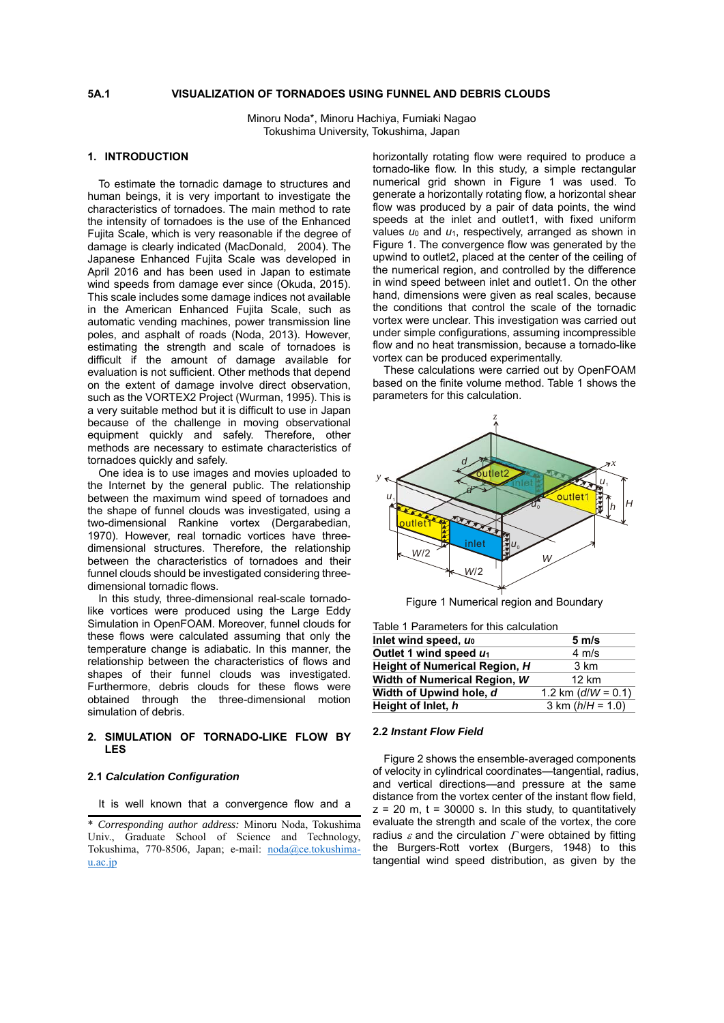## **5A.1 VISUALIZATION OF TORNADOES USING FUNNEL AND DEBRIS CLOUDS**

Minoru Noda\*, Minoru Hachiya, Fumiaki Nagao Tokushima University, Tokushima, Japan

# **1. INTRODUCTION**

To estimate the tornadic damage to structures and human beings, it is very important to investigate the characteristics of tornadoes. The main method to rate the intensity of tornadoes is the use of the Enhanced Fujita Scale, which is very reasonable if the degree of damage is clearly indicated (MacDonald, 2004). The Japanese Enhanced Fujita Scale was developed in April 2016 and has been used in Japan to estimate wind speeds from damage ever since (Okuda, 2015). This scale includes some damage indices not available in the American Enhanced Fujita Scale, such as automatic vending machines, power transmission line poles, and asphalt of roads (Noda, 2013). However, estimating the strength and scale of tornadoes is difficult if the amount of damage available for evaluation is not sufficient. Other methods that depend on the extent of damage involve direct observation, such as the VORTEX2 Project (Wurman, 1995). This is a very suitable method but it is difficult to use in Japan because of the challenge in moving observational equipment quickly and safely. Therefore, other methods are necessary to estimate characteristics of tornadoes quickly and safely.

One idea is to use images and movies uploaded to the Internet by the general public. The relationship between the maximum wind speed of tornadoes and the shape of funnel clouds was investigated, using a two-dimensional Rankine vortex (Dergarabedian, 1970). However, real tornadic vortices have threedimensional structures. Therefore, the relationship between the characteristics of tornadoes and their funnel clouds should be investigated considering threedimensional tornadic flows.

In this study, three-dimensional real-scale tornadolike vortices were produced using the Large Eddy Simulation in OpenFOAM. Moreover, funnel clouds for these flows were calculated assuming that only the temperature change is adiabatic. In this manner, the relationship between the characteristics of flows and shapes of their funnel clouds was investigated. Furthermore, debris clouds for these flows were obtained through the three-dimensional motion simulation of debris.

## **2. SIMULATION OF TORNADO-LIKE FLOW BY LES**

### **2.1** *Calculation Configuration*

It is well known that a convergence flow and a

horizontally rotating flow were required to produce a tornado-like flow. In this study, a simple rectangular numerical grid shown in Figure 1 was used. To generate a horizontally rotating flow, a horizontal shear flow was produced by a pair of data points, the wind speeds at the inlet and outlet1, with fixed uniform values *u*0 and *u*1, respectively, arranged as shown in Figure 1. The convergence flow was generated by the upwind to outlet2, placed at the center of the ceiling of the numerical region, and controlled by the difference in wind speed between inlet and outlet1. On the other hand, dimensions were given as real scales, because the conditions that control the scale of the tornadic vortex were unclear. This investigation was carried out under simple configurations, assuming incompressible flow and no heat transmission, because a tornado-like vortex can be produced experimentally.

These calculations were carried out by OpenFOAM based on the finite volume method. Table 1 shows the parameters for this calculation.



Figure 1 Numerical region and Boundary

| Table 1 Parameters for this calculation |  |
|-----------------------------------------|--|
|                                         |  |

| Inlet wind speed, uo          | $5 \, \text{m/s}$      |  |  |
|-------------------------------|------------------------|--|--|
| Outlet 1 wind speed $u_1$     | $4 \text{ m/s}$        |  |  |
| Height of Numerical Region, H | 3 km                   |  |  |
| Width of Numerical Region, W  | 12 km                  |  |  |
| Width of Upwind hole, d       | 1.2 km ( $d/W = 0.1$ ) |  |  |
| Height of Inlet, h            | 3 km $(h/H = 1.0)$     |  |  |

#### **2.2** *Instant Flow Field*

 Figure 2 shows the ensemble-averaged components of velocity in cylindrical coordinates—tangential, radius, and vertical directions—and pressure at the same distance from the vortex center of the instant flow field,  $z = 20$  m,  $t = 30000$  s. In this study, to quantitatively evaluate the strength and scale of the vortex, the core radius  $\varepsilon$  and the circulation  $\Gamma$  were obtained by fitting the Burgers-Rott vortex (Burgers, 1948) to this tangential wind speed distribution, as given by the

<sup>\*</sup> *Corresponding author address:* Minoru Noda, Tokushima Univ., Graduate School of Science and Technology, Tokushima, 770-8506, Japan; e-mail: noda@ce.tokushimau.ac.jp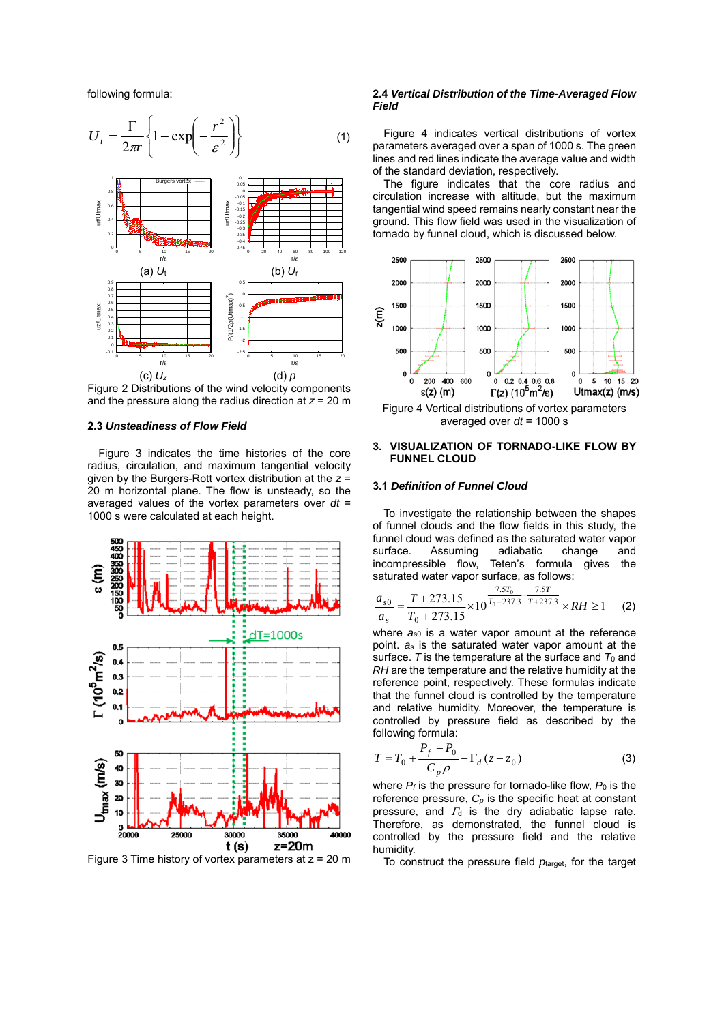following formula:



Figure 2 Distributions of the wind velocity components and the pressure along the radius direction at *z* = 20 m

## **2.3** *Unsteadiness of Flow Field*

Figure 3 indicates the time histories of the core radius, circulation, and maximum tangential velocity given by the Burgers-Rott vortex distribution at the *z* = 20 m horizontal plane. The flow is unsteady, so the averaged values of the vortex parameters over *dt* = 1000 s were calculated at each height.



Figure 3 Time history of vortex parameters at  $z = 20$  m

#### **2.4** *Vertical Distribution of the Time-Averaged Flow Field*

Figure 4 indicates vertical distributions of vortex parameters averaged over a span of 1000 s. The green lines and red lines indicate the average value and width of the standard deviation, respectively.

The figure indicates that the core radius and circulation increase with altitude, but the maximum tangential wind speed remains nearly constant near the ground. This flow field was used in the visualization of tornado by funnel cloud, which is discussed below.



Figure 4 Vertical distributions of vortex parameters averaged over *dt* = 1000 s

# **3. VISUALIZATION OF TORNADO-LIKE FLOW BY FUNNEL CLOUD**

### **3.1** *Definition of Funnel Cloud*

To investigate the relationship between the shapes of funnel clouds and the flow fields in this study, the funnel cloud was defined as the saturated water vapor surface. Assuming adiabatic change and<br>incompressible flow, Teten's formula gives the Teten's formula gives the saturated water vapor surface, as follows:

$$
\frac{a_{s0}}{a_s} = \frac{T + 273.15}{T_0 + 273.15} \times 10^{\frac{7.5T_0}{T_0 + 237.3} - \frac{7.5T}{T + 237.3}} \times RH \ge 1
$$
 (2)

where  $a_{s0}$  is a water vapor amount at the reference point. *a*s is the saturated water vapor amount at the surface.  $T$  is the temperature at the surface and  $T_0$  and *RH* are the temperature and the relative humidity at the reference point, respectively. These formulas indicate that the funnel cloud is controlled by the temperature and relative humidity. Moreover, the temperature is controlled by pressure field as described by the following formula:

$$
T = T_0 + \frac{P_f - P_0}{C_p \rho} - \Gamma_d (z - z_0)
$$
 (3)

where  $P_f$  is the pressure for tornado-like flow,  $P_0$  is the reference pressure, *Cp* is the specific heat at constant pressure, and  $\Gamma_d$  is the dry adiabatic lapse rate. Therefore, as demonstrated, the funnel cloud is controlled by the pressure field and the relative humidity.

To construct the pressure field *p*target, for the target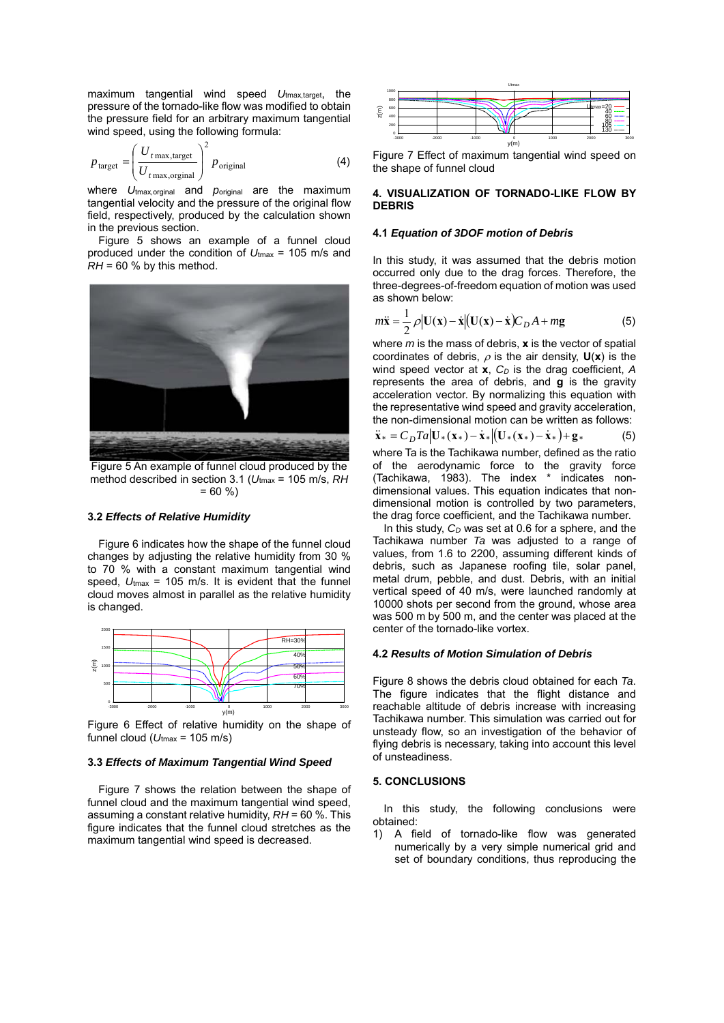maximum tangential wind speed *U*tmax,target, the pressure of the tornado-like flow was modified to obtain the pressure field for an arbitrary maximum tangential wind speed, using the following formula:

$$
p_{\text{target}} = \left(\frac{U_{t \max, \text{target}}}{U_{t \max, \text{original}}}\right)^2 p_{\text{original}}
$$
 (4)

where *U*tmax,orginal and *p*original are the maximum tangential velocity and the pressure of the original flow field, respectively, produced by the calculation shown in the previous section.

 Figure 5 shows an example of a funnel cloud produced under the condition of *U*tmax = 105 m/s and  $RH = 60$  % by this method.



Figure 5 An example of funnel cloud produced by the method described in section 3.1 (*U*tmax = 105 m/s, *RH*  $= 60 \%$ 

#### **3.2** *Effects of Relative Humidity*

Figure 6 indicates how the shape of the funnel cloud changes by adjusting the relative humidity from 30 % to 70 % with a constant maximum tangential wind speed,  $U_{\text{max}}$  = 105 m/s. It is evident that the funnel cloud moves almost in parallel as the relative humidity is changed.



Figure 6 Effect of relative humidity on the shape of funnel cloud ( $U_{\text{tmax}}$  = 105 m/s)

#### **3.3** *Effects of Maximum Tangential Wind Speed*

Figure 7 shows the relation between the shape of funnel cloud and the maximum tangential wind speed, assuming a constant relative humidity, *RH* = 60 %. This figure indicates that the funnel cloud stretches as the maximum tangential wind speed is decreased.



Figure 7 Effect of maximum tangential wind speed on the shape of funnel cloud

# **4. VISUALIZATION OF TORNADO-LIKE FLOW BY DEBRIS**

# **4.1** *Equation of 3DOF motion of Debris*

In this study, it was assumed that the debris motion occurred only due to the drag forces. Therefore, the three-degrees-of-freedom equation of motion was used as shown below:

$$
m\ddot{\mathbf{x}} = \frac{1}{2} \rho |\mathbf{U}(\mathbf{x}) - \dot{\mathbf{x}}| (\mathbf{U}(\mathbf{x}) - \dot{\mathbf{x}}) C_D A + mg
$$
 (5)

where *m* is the mass of debris, **x** is the vector of spatial coordinates of debris,  $\rho$  is the air density,  $U(x)$  is the wind speed vector at **x**,  $C_D$  is the drag coefficient, A represents the area of debris, and **g** is the gravity acceleration vector. By normalizing this equation with the representative wind speed and gravity acceleration, the non-dimensional motion can be written as follows:

$$
\ddot{\mathbf{x}}_{*} = C_{D} T a \left| \mathbf{U}_{*}(\mathbf{x}_{*}) - \dot{\mathbf{x}}_{*} \right| \left( \mathbf{U}_{*}(\mathbf{x}_{*}) - \dot{\mathbf{x}}_{*} \right) + \mathbf{g}_{*} \tag{5}
$$

where Ta is the Tachikawa number, defined as the ratio of the aerodynamic force to the gravity force (Tachikawa, 1983). The index \* indicates nondimensional values. This equation indicates that nondimensional motion is controlled by two parameters, the drag force coefficient, and the Tachikawa number.

In this study,  $C_D$  was set at 0.6 for a sphere, and the Tachikawa number *Ta* was adjusted to a range of values, from 1.6 to 2200, assuming different kinds of debris, such as Japanese roofing tile, solar panel, metal drum, pebble, and dust. Debris, with an initial vertical speed of 40 m/s, were launched randomly at 10000 shots per second from the ground, whose area was 500 m by 500 m, and the center was placed at the center of the tornado-like vortex.

#### **4.2** *Results of Motion Simulation of Debris*

Figure 8 shows the debris cloud obtained for each *Ta*. The figure indicates that the flight distance and reachable altitude of debris increase with increasing Tachikawa number. This simulation was carried out for unsteady flow, so an investigation of the behavior of flying debris is necessary, taking into account this level of unsteadiness.

### **5. CONCLUSIONS**

In this study, the following conclusions were obtained:

1) A field of tornado-like flow was generated numerically by a very simple numerical grid and set of boundary conditions, thus reproducing the